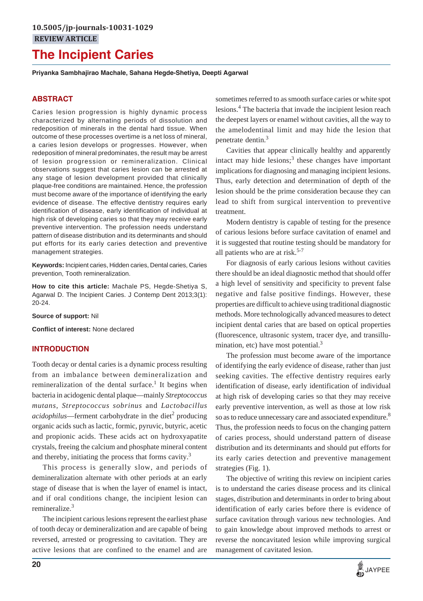# **The Incipient Caries**

**Priyanka Sambhajirao Machale, Sahana Hegde-Shetiya, Deepti Agarwal**

## **ABSTRACT**

Caries lesion progression is highly dynamic process characterized by alternating periods of dissolution and redeposition of minerals in the dental hard tissue. When outcome of these processes overtime is a net loss of mineral, a caries lesion develops or progresses. However, when redeposition of mineral predominates, the result may be arrest of lesion progression or remineralization. Clinical observations suggest that caries lesion can be arrested at any stage of lesion development provided that clinically plaque-free conditions are maintained. Hence, the profession must become aware of the importance of identifying the early evidence of disease. The effective dentistry requires early identification of disease, early identification of individual at high risk of developing caries so that they may receive early preventive intervention. The profession needs understand pattern of disease distribution and its determinants and should put efforts for its early caries detection and preventive management strategies.

**Keywords:** Incipient caries, Hidden caries, Dental caries, Caries prevention, Tooth remineralization.

**How to cite this article:** Machale PS, Hegde-Shetiya S, Agarwal D. The Incipient Caries. J Contemp Dent 2013;3(1): 20-24.

**Source of support:** Nil

**Conflict of interest:** None declared

#### **INTRODUCTION**

Tooth decay or dental caries is a dynamic process resulting from an imbalance between demineralization and remineralization of the dental surface.<sup>1</sup> It begins when bacteria in acidogenic dental plaque—mainly *Streptococcus mutans*, *Streptococcus sobrinus* and *Lactobacillus* acidophilus—ferment carbohydrate in the diet<sup>2</sup> producing organic acids such as lactic, formic, pyruvic, butyric, acetic and propionic acids. These acids act on hydroxyapatite crystals, freeing the calcium and phosphate mineral content and thereby, initiating the process that forms cavity.3

This process is generally slow, and periods of demineralization alternate with other periods at an early stage of disease that is when the layer of enamel is intact, and if oral conditions change, the incipient lesion can remineralize.<sup>3</sup>

The incipient carious lesions represent the earliest phase of tooth decay or demineralization and are capable of being reversed, arrested or progressing to cavitation. They are active lesions that are confined to the enamel and are sometimes referred to as smooth surface caries or white spot lesions.4 The bacteria that invade the incipient lesion reach the deepest layers or enamel without cavities, all the way to the amelodentinal limit and may hide the lesion that penetrate dentin.<sup>3</sup>

Cavities that appear clinically healthy and apparently intact may hide lesions; $3$  these changes have important implications for diagnosing and managing incipient lesions. Thus, early detection and determination of depth of the lesion should be the prime consideration because they can lead to shift from surgical intervention to preventive treatment.

Modern dentistry is capable of testing for the presence of carious lesions before surface cavitation of enamel and it is suggested that routine testing should be mandatory for all patients who are at risk. $5-7$ 

For diagnosis of early carious lesions without cavities there should be an ideal diagnostic method that should offer a high level of sensitivity and specificity to prevent false negative and false positive findings. However, these properties are difficult to achieve using traditional diagnostic methods. More technologically advanced measures to detect incipient dental caries that are based on optical properties (fluorescence, ultrasonic system, tracer dye, and transillumination, etc) have most potential. $3$ 

The profession must become aware of the importance of identifying the early evidence of disease, rather than just seeking cavities. The effective dentistry requires early identification of disease, early identification of individual at high risk of developing caries so that they may receive early preventive intervention, as well as those at low risk so as to reduce unnecessary care and associated expenditure.<sup>8</sup> Thus, the profession needs to focus on the changing pattern of caries process, should understand pattern of disease distribution and its determinants and should put efforts for its early caries detection and preventive management strategies (Fig. 1).

The objective of writing this review on incipient caries is to understand the caries disease process and its clinical stages, distribution and determinants in order to bring about identification of early caries before there is evidence of surface cavitation through various new technologies. And to gain knowledge about improved methods to arrest or reverse the noncavitated lesion while improving surgical management of cavitated lesion.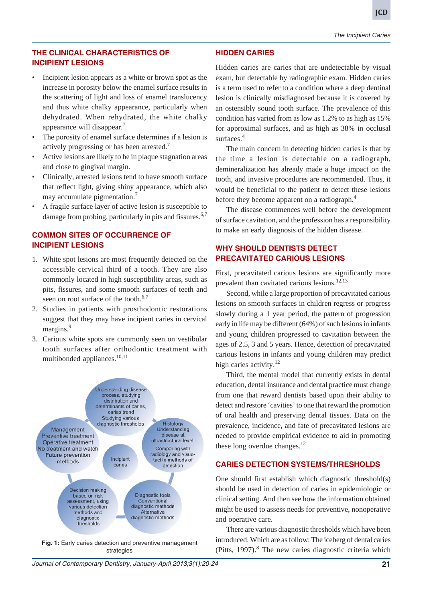**JCD**

*The Incipient Caries*

# **THE CLINICAL CHARACTERISTICS OF INCIPIENT LESIONS**

- Incipient lesion appears as a white or brown spot as the increase in porosity below the enamel surface results in the scattering of light and loss of enamel translucency and thus white chalky appearance, particularly when dehydrated. When rehydrated, the white chalky appearance will disappear.7
- The porosity of enamel surface determines if a lesion is actively progressing or has been arrested.<sup>7</sup>
- Active lesions are likely to be in plaque stagnation areas and close to gingival margin.
- Clinically, arrested lesions tend to have smooth surface that reflect light, giving shiny appearance, which also may accumulate pigmentation.7
- A fragile surface layer of active lesion is susceptible to damage from probing, particularly in pits and fissures.  $6,7$

# **COMMON SITES OF OCCURRENCE OF INCIPIENT LESIONS**

- 1. White spot lesions are most frequently detected on the accessible cervical third of a tooth. They are also commonly located in high susceptibility areas, such as pits, fissures, and some smooth surfaces of teeth and seen on root surface of the tooth.<sup>6,7</sup>
- 2. Studies in patients with prosthodontic restorations suggest that they may have incipient caries in cervical margins.<sup>9</sup>
- 3. Carious white spots are commonly seen on vestibular tooth surfaces after orthodontic treatment with multibonded appliances. $10,11$



**Fig. 1:** Early caries detection and preventive management strategies

# **HIDDEN CARIES**

Hidden caries are caries that are undetectable by visual exam, but detectable by radiographic exam. Hidden caries is a term used to refer to a condition where a deep dentinal lesion is clinically misdiagnosed because it is covered by an ostensibly sound tooth surface. The prevalence of this condition has varied from as low as 1.2% to as high as 15% for approximal surfaces, and as high as 38% in occlusal surfaces.<sup>4</sup>

The main concern in detecting hidden caries is that by the time a lesion is detectable on a radiograph, demineralization has already made a huge impact on the tooth, and invasive procedures are recommended. Thus, it would be beneficial to the patient to detect these lesions before they become apparent on a radiograph. $4$ 

The disease commences well before the development of surface cavitation, and the profession has a responsibility to make an early diagnosis of the hidden disease.

# **WHY SHOULD DENTISTS DETECT PRECAVITATED CARIOUS LESIONS**

First, precavitated carious lesions are significantly more prevalent than cavitated carious lesions.<sup>12,13</sup>

Second, while a large proportion of precavitated carious lesions on smooth surfaces in children regress or progress slowly during a 1 year period, the pattern of progression early in life may be different (64%) of such lesions in infants and young children progressed to cavitation between the ages of 2.5, 3 and 5 years. Hence, detection of precavitated carious lesions in infants and young children may predict high caries activity.<sup>12</sup>

Third, the mental model that currently exists in dental education, dental insurance and dental practice must change from one that reward dentists based upon their ability to detect and restore 'cavities' to one that reward the promotion of oral health and preserving dental tissues. Data on the prevalence, incidence, and fate of precavitated lesions are needed to provide empirical evidence to aid in promoting these long overdue changes. $^{12}$ 

#### **CARIES DETECTION SYSTEMS/THRESHOLDS**

One should first establish which diagnostic threshold(s) should be used in detection of caries in epidemiologic or clinical setting. And then see how the information obtained might be used to assess needs for preventive, nonoperative and operative care.

There are various diagnostic thresholds which have been introduced. Which are as follow: The iceberg of dental caries (Pitts,  $1997$ ).<sup>8</sup> The new caries diagnostic criteria which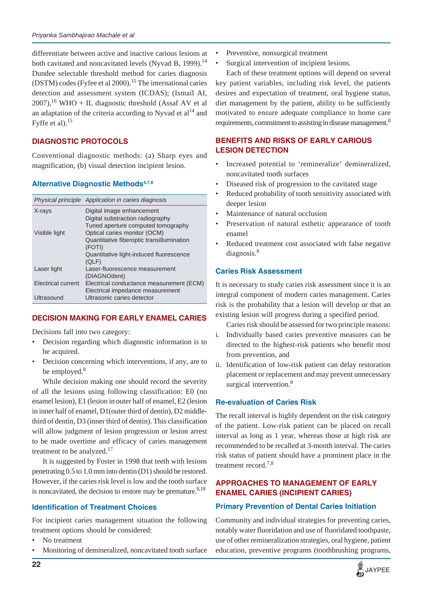differentiate between active and inactive carious lesions at both cavitated and noncavitated levels (Nyvad B, 1999).<sup>14</sup> Dundee selectable threshold method for caries diagnosis (DSTM) codes (Fyfee et al 2000).<sup>15</sup> The international caries detection and assessment system (ICDAS); (Ismail AI,  $2007$ ,<sup>16</sup> WHO + IL diagnostic threshold (Assaf AV et al an adaptation of the criteria according to Nyvad et  $al<sup>14</sup>$  and Fyffe et al). $15$ 

# **DIAGNOSTIC PROTOCOLS**

Conventional diagnostic methods: (a) Sharp eyes and magnification, (b) visual detection incipient lesion.

# **Alternative Diagnostic Methods4,7,8**

|                    | Physical principle Application in caries diagnosis |
|--------------------|----------------------------------------------------|
| X-rays             | Digital image enhancement                          |
|                    | Digital substraction radiography                   |
|                    | Tuned aperture computed tomography                 |
| Visible light      | Optical caries monitor (OCM)                       |
|                    | Quantitative fiberoptic transillumination          |
|                    | (FOTI)                                             |
|                    | Quantitative light-induced fluorescence<br>(QLF)   |
| Laser light        | Laser-fluorescence measurement                     |
|                    | (DIAGNOdent)                                       |
| Electrical current | Electrical conductance measurement (ECM)           |
|                    | Electrical impedance measurement                   |
| Ultrasound         | Ultrasonic caries detector                         |

# **DECISION MAKING FOR EARLY ENAMEL CARIES**

Decisions fall into two category:

- Decision regarding which diagnostic information is to be acquired.
- Decision concerning which interventions, if any, are to be employed.<sup>8</sup>

While decision making one should record the severity of all the lesions using following classification: E0 (no enamel lesion), E1 (lesion in outer half of enamel, E2 (lesion in inner half of enamel, D1(outer third of dentin), D2 middlethird of dentin, D3 (inner third of dentin). This classification will allow judgment of lesion progression or lesion arrest to be made overtime and efficacy of caries management treatment to be analyzed. $17$ 

It is suggested by Foster in 1998 that teeth with lesions penetrating 0.5 to 1.0 mm into dentin (D1) should be restored. However, if the caries risk level is low and the tooth surface is noncavitated, the decision to restore may be premature. $8,18$ 

# **Identification of Treatment Choices**

For incipient caries management situation the following treatment options should be considered:

- No treatment
- Monitoring of demineralized, noncavitated tooth surface
- Preventive, nonsurgical treatment
- Surgical intervention of incipient lesions.

Each of these treatment options will depend on several key patient variables, including risk level, the patients desires and expectation of treatment, oral hygiene status, diet management by the patient, ability to be sufficiently motivated to ensure adequate compliance to home care requirements, commitment to assisting in disease management.<sup>8</sup>

# **BENEFITS AND RISKS OF EARLY CARIOUS LESION DETECTION**

- Increased potential to 'remineralize' demineralized, noncavitated tooth surfaces
- Diseased risk of progression to the cavitated stage
- Reduced probability of tooth sensitivity associated with deeper lesion
- Maintenance of natural occlusion
- Preservation of natural esthetic appearance of tooth enamel
- Reduced treatment cost associated with false negative diagnosis.<sup>8</sup>

# **Caries Risk Assessment**

It is necessary to study caries risk assessment since it is an integral component of modern caries management. Caries risk is the probability that a lesion will develop or that an existing lesion will progress during a specified period.

Caries risk should be assessed for two principle reasons:

- i. Individually based caries preventive measures can be directed to the highest-risk patients who benefit most from prevention, and
- ii. Identification of low-risk patient can delay restoration placement or replacement and may prevent unnecessary surgical intervention.<sup>8</sup>

# **Re-evaluation of Caries Risk**

The recall interval is highly dependent on the risk category of the patient. Low-risk patient can be placed on recall interval as long as 1 year, whereas those at high risk are recommended to be recalled at 3-month interval. The caries risk status of patient should have a prominent place in the treatment record.<sup>7,8</sup>

# **APPROACHES TO MANAGEMENT OF EARLY ENAMEL CARIES (INCIPIENT CARIES)**

# **Primary Prevention of Dental Caries Initiation**

Community and individual strategies for preventing caries, notably water fluoridation and use of fluoridated toothpaste, use of other remineralization strategies, oral hygiene, patient education, preventive programs (toothbrushing programs,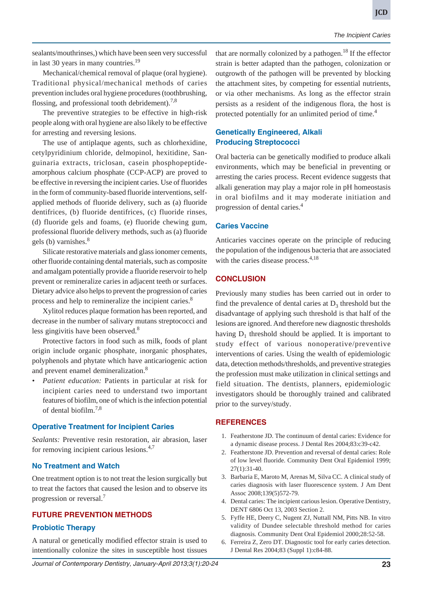sealants/mouthrinses,) which have been seen very successful in last 30 years in many countries.<sup>19</sup>

Mechanical/chemical removal of plaque (oral hygiene). Traditional physical/mechanical methods of caries prevention includes oral hygiene procedures (toothbrushing, flossing, and professional tooth debridement).<sup>7,8</sup>

The preventive strategies to be effective in high-risk people along with oral hygiene are also likely to be effective for arresting and reversing lesions.

The use of antiplaque agents, such as chlorhexidine, cetylpyridinium chloride, delmopinol, hexitidine, Sanguinaria extracts, triclosan, casein phosphopeptideamorphous calcium phosphate (CCP-ACP) are proved to be effective in reversing the incipient caries. Use of fluorides in the form of community-based fluoride interventions, selfapplied methods of fluoride delivery, such as (a) fluoride dentifrices, (b) fluoride dentifrices, (c) fluoride rinses, (d) fluoride gels and foams, (e) fluoride chewing gum, professional fluoride delivery methods, such as (a) fluoride gels (b) varnishes. $8$ 

Silicate restorative materials and glass ionomer cements, other fluoride containing dental materials, such as composite and amalgam potentially provide a fluoride reservoir to help prevent or remineralize caries in adjacent teeth or surfaces. Dietary advice also helps to prevent the progression of caries process and help to remineralize the incipient caries.<sup>8</sup>

Xylitol reduces plaque formation has been reported, and decrease in the number of salivary mutans streptococci and less gingivitis have been observed.<sup>8</sup>

Protective factors in food such as milk, foods of plant origin include organic phosphate, inorganic phosphates, polyphenols and phytate which have anticariogenic action and prevent enamel demineralization.<sup>8</sup>

*• Patient education:* Patients in particular at risk for incipient caries need to understand two important features of biofilm, one of which is the infection potential of dental biofilm.7,8

#### **Operative Treatment for Incipient Caries**

*Sealants:* Preventive resin restoration, air abrasion, laser for removing incipient carious lesions.<sup>4,7</sup>

#### **No Treatment and Watch**

One treatment option is to not treat the lesion surgically but to treat the factors that caused the lesion and to observe its progression or reversal.<sup>7</sup>

#### **FUTURE PREVENTION METHODS**

#### **Probiotic Therapy**

A natural or genetically modified effector strain is used to intentionally colonize the sites in susceptible host tissues

that are normally colonized by a pathogen.<sup>18</sup> If the effector strain is better adapted than the pathogen, colonization or outgrowth of the pathogen will be prevented by blocking the attachment sites, by competing for essential nutrients, or via other mechanisms. As long as the effector strain persists as a resident of the indigenous flora, the host is protected potentially for an unlimited period of time.<sup>4</sup>

## **Genetically Engineered, Alkali Producing Streptococci**

Oral bacteria can be genetically modified to produce alkali environments, which may be beneficial in preventing or arresting the caries process. Recent evidence suggests that alkali generation may play a major role in pH homeostasis in oral biofilms and it may moderate initiation and progression of dental caries.4

#### **Caries Vaccine**

Anticaries vaccines operate on the principle of reducing the population of the indigenous bacteria that are associated with the caries disease process.<sup>4,18</sup>

## **CONCLUSION**

Previously many studies has been carried out in order to find the prevalence of dental caries at  $D_3$  threshold but the disadvantage of applying such threshold is that half of the lesions are ignored. And therefore new diagnostic thresholds having  $D_1$  threshold should be applied. It is important to study effect of various nonoperative/preventive interventions of caries. Using the wealth of epidemiologic data, detection methods/thresholds, and preventive strategies the profession must make utilization in clinical settings and field situation. The dentists, planners, epidemiologic investigators should be thoroughly trained and calibrated prior to the survey/study.

#### **REFERENCES**

- 1. Featherstone JD. The continuum of dental caries: Evidence for a dynamic disease process. J Dental Res 2004;83:c39-c42.
- 2. Featherstone JD. Prevention and reversal of dental caries: Role of low level fluoride. Community Dent Oral Epidemiol 1999; 27(1):31-40.
- 3. Barbaria E, Maroto M, Arenas M, Silva CC. A clinical study of caries diagnosis with laser fluorescence system. J Am Dent Assoc 2008;139(5)572-79.
- 4. Dental caries: The incipient carious lesion. Operative Dentistry, DENT 6806 Oct 13, 2003 Section 2.
- 5. Fyffe HE, Deery C, Nugent ZJ, Nuttall NM, Pitts NB. In vitro validity of Dundee selectable threshold method for caries diagnosis. Community Dent Oral Epidemiol 2000;28:52-58.
- 6. Ferreira Z, Zero DT. Diagnostic tool for early caries detection. J Dental Res 2004;83 (Suppl 1):c84-88.